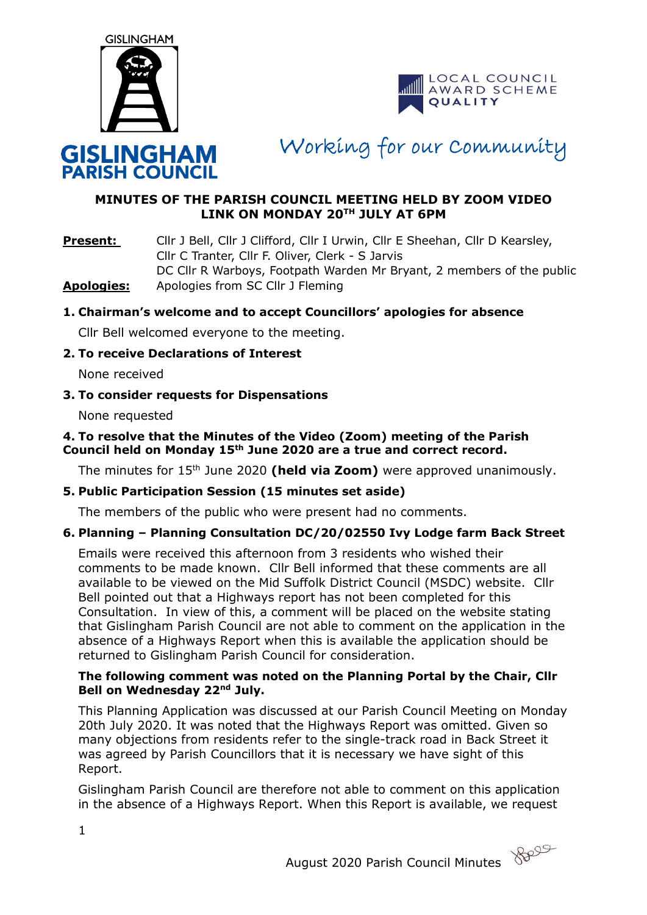



Working for our Community

# **MINUTES OF THE PARISH COUNCIL MEETING HELD BY ZOOM VIDEO LINK ON MONDAY 20TH JULY AT 6PM**

**Present:** Cllr J Bell, Cllr J Clifford, Cllr I Urwin, Cllr E Sheehan, Cllr D Kearsley, Cllr C Tranter, Cllr F. Oliver, Clerk - S Jarvis DC Cllr R Warboys, Footpath Warden Mr Bryant, 2 members of the public **Apologies:** Apologies from SC Cllr J Fleming

## **1. Chairman's welcome and to accept Councillors' apologies for absence**

Cllr Bell welcomed everyone to the meeting.

#### **2. To receive Declarations of Interest**

None received

#### **3. To consider requests for Dispensations**

None requested

### **4. To resolve that the Minutes of the Video (Zoom) meeting of the Parish Council held on Monday 15th June 2020 are a true and correct record.**

The minutes for 15<sup>th</sup> June 2020 (held via Zoom) were approved unanimously.

### **5. Public Participation Session (15 minutes set aside)**

The members of the public who were present had no comments.

### **6. Planning – Planning Consultation DC/20/02550 Ivy Lodge farm Back Street**

Emails were received this afternoon from 3 residents who wished their comments to be made known. Cllr Bell informed that these comments are all available to be viewed on the Mid Suffolk District Council (MSDC) website. Cllr Bell pointed out that a Highways report has not been completed for this Consultation. In view of this, a comment will be placed on the website stating that Gislingham Parish Council are not able to comment on the application in the absence of a Highways Report when this is available the application should be returned to Gislingham Parish Council for consideration.

### **The following comment was noted on the Planning Portal by the Chair, Cllr Bell on Wednesday 22nd July.**

This Planning Application was discussed at our Parish Council Meeting on Monday 20th July 2020. It was noted that the Highways Report was omitted. Given so many objections from residents refer to the single-track road in Back Street it was agreed by Parish Councillors that it is necessary we have sight of this Report.

Gislingham Parish Council are therefore not able to comment on this application in the absence of a Highways Report. When this Report is available, we request

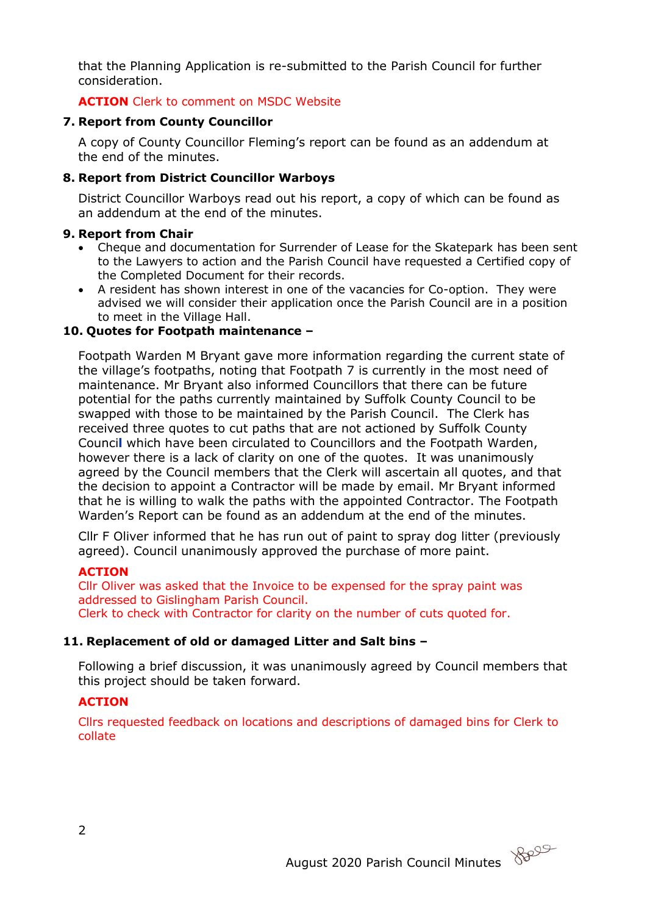that the Planning Application is re-submitted to the Parish Council for further consideration.

# **ACTION** Clerk to comment on MSDC Website

# **7. Report from County Councillor**

A copy of County Councillor Fleming's report can be found as an addendum at the end of the minutes.

# **8. Report from District Councillor Warboys**

District Councillor Warboys read out his report, a copy of which can be found as an addendum at the end of the minutes.

# **9. Report from Chair**

- Cheque and documentation for Surrender of Lease for the Skatepark has been sent to the Lawyers to action and the Parish Council have requested a Certified copy of the Completed Document for their records.
- A resident has shown interest in one of the vacancies for Co-option. They were advised we will consider their application once the Parish Council are in a position to meet in the Village Hall.

# **10. Quotes for Footpath maintenance –**

Footpath Warden M Bryant gave more information regarding the current state of the village's footpaths, noting that Footpath 7 is currently in the most need of maintenance. Mr Bryant also informed Councillors that there can be future potential for the paths currently maintained by Suffolk County Council to be swapped with those to be maintained by the Parish Council. The Clerk has received three quotes to cut paths that are not actioned by Suffolk County Counci**l** which have been circulated to Councillors and the Footpath Warden, however there is a lack of clarity on one of the quotes. It was unanimously agreed by the Council members that the Clerk will ascertain all quotes, and that the decision to appoint a Contractor will be made by email. Mr Bryant informed that he is willing to walk the paths with the appointed Contractor. The Footpath Warden's Report can be found as an addendum at the end of the minutes.

Cllr F Oliver informed that he has run out of paint to spray dog litter (previously agreed). Council unanimously approved the purchase of more paint.

# **ACTION**

Cllr Oliver was asked that the Invoice to be expensed for the spray paint was addressed to Gislingham Parish Council. Clerk to check with Contractor for clarity on the number of cuts quoted for.

# **11. Replacement of old or damaged Litter and Salt bins –**

Following a brief discussion, it was unanimously agreed by Council members that this project should be taken forward.

# **ACTION**

Cllrs requested feedback on locations and descriptions of damaged bins for Clerk to collate

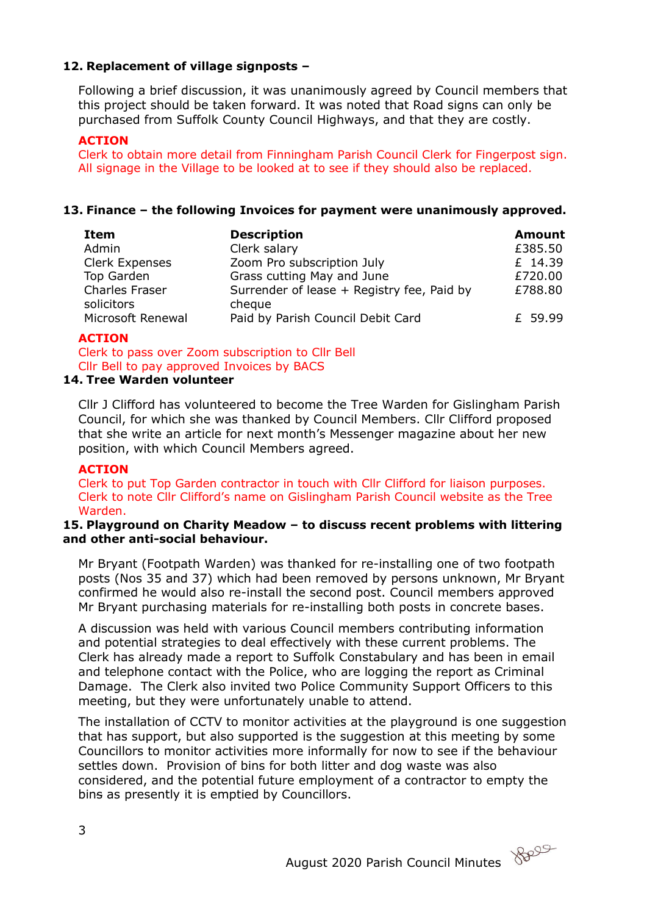# **12. Replacement of village signposts –**

Following a brief discussion, it was unanimously agreed by Council members that this project should be taken forward. It was noted that Road signs can only be purchased from Suffolk County Council Highways, and that they are costly.

## **ACTION**

Clerk to obtain more detail from Finningham Parish Council Clerk for Fingerpost sign. All signage in the Village to be looked at to see if they should also be replaced.

## **13. Finance – the following Invoices for payment were unanimously approved.**

| Item                                | <b>Description</b>                                   | <b>Amount</b> |
|-------------------------------------|------------------------------------------------------|---------------|
| Admin                               | Clerk salary                                         | £385.50       |
| Clerk Expenses                      | Zoom Pro subscription July                           | £ 14.39       |
| Top Garden                          | Grass cutting May and June                           | £720.00       |
| <b>Charles Fraser</b><br>solicitors | Surrender of lease + Registry fee, Paid by<br>cheque | £788.80       |
| Microsoft Renewal                   | Paid by Parish Council Debit Card                    | £ 59.99       |

### **ACTION**

Clerk to pass over Zoom subscription to Cllr Bell Cllr Bell to pay approved Invoices by BACS

## **14. Tree Warden volunteer**

Cllr J Clifford has volunteered to become the Tree Warden for Gislingham Parish Council, for which she was thanked by Council Members. Cllr Clifford proposed that she write an article for next month's Messenger magazine about her new position, with which Council Members agreed.

### **ACTION**

Clerk to put Top Garden contractor in touch with Cllr Clifford for liaison purposes. Clerk to note Cllr Clifford's name on Gislingham Parish Council website as the Tree Warden.

#### **15. Playground on Charity Meadow – to discuss recent problems with littering and other anti-social behaviour.**

Mr Bryant (Footpath Warden) was thanked for re-installing one of two footpath posts (Nos 35 and 37) which had been removed by persons unknown, Mr Bryant confirmed he would also re-install the second post. Council members approved Mr Bryant purchasing materials for re-installing both posts in concrete bases.

A discussion was held with various Council members contributing information and potential strategies to deal effectively with these current problems. The Clerk has already made a report to Suffolk Constabulary and has been in email and telephone contact with the Police, who are logging the report as Criminal Damage. The Clerk also invited two Police Community Support Officers to this meeting, but they were unfortunately unable to attend.

The installation of CCTV to monitor activities at the playground is one suggestion that has support, but also supported is the suggestion at this meeting by some Councillors to monitor activities more informally for now to see if the behaviour settles down. Provision of bins for both litter and dog waste was also considered, and the potential future employment of a contractor to empty the bins as presently it is emptied by Councillors.

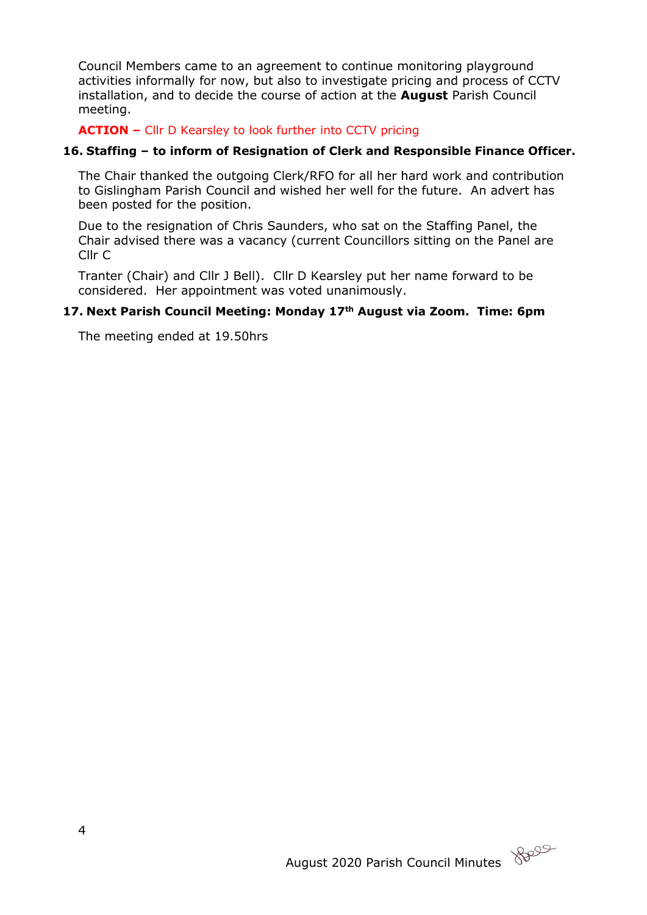Council Members came to an agreement to continue monitoring playground activities informally for now, but also to investigate pricing and process of CCTV installation, and to decide the course of action at the **August** Parish Council meeting.

**ACTION –** Cllr D Kearsley to look further into CCTV pricing

## **16. Staffing – to inform of Resignation of Clerk and Responsible Finance Officer.**

The Chair thanked the outgoing Clerk/RFO for all her hard work and contribution to Gislingham Parish Council and wished her well for the future. An advert has been posted for the position.

Due to the resignation of Chris Saunders, who sat on the Staffing Panel, the Chair advised there was a vacancy (current Councillors sitting on the Panel are Cllr C

Tranter (Chair) and Cllr J Bell). Cllr D Kearsley put her name forward to be considered. Her appointment was voted unanimously.

## **17. Next Parish Council Meeting: Monday 17th August via Zoom. Time: 6pm**

The meeting ended at 19.50hrs

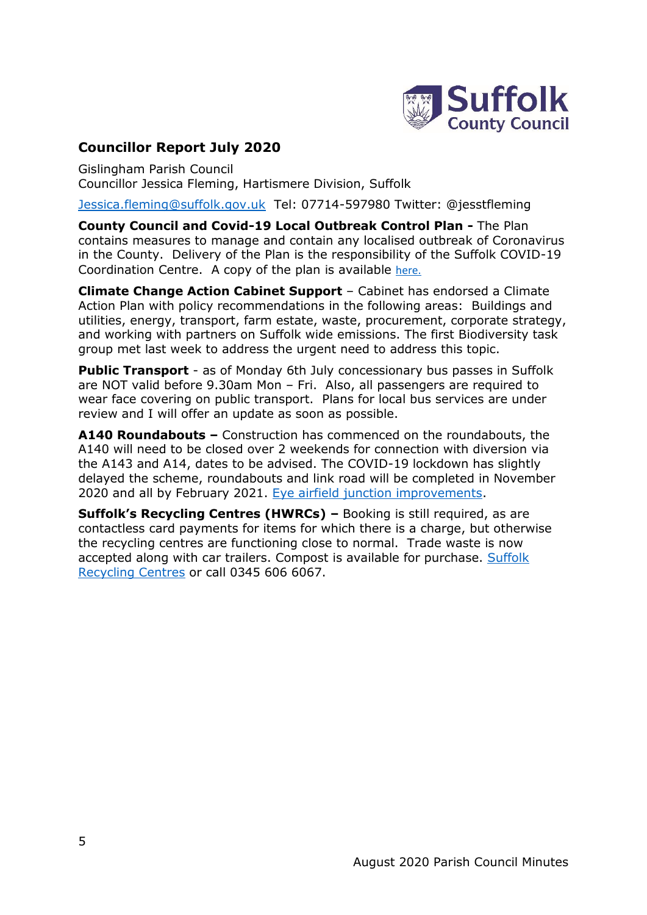

# **Councillor Report July 2020**

Gislingham Parish Council Councillor Jessica Fleming, Hartismere Division, Suffolk

[Jessica.fleming@suffolk.gov.uk](mailto:Jessica.fleming@suffolk.gov.uk) Tel: 07714-597980 Twitter: @jesstfleming

**County Council and Covid-19 Local Outbreak Control Plan -** The Plan contains measures to manage and contain any localised outbreak of Coronavirus in the County. Delivery of the Plan is the responsibility of the Suffolk COVID-19 Coordination Centre. A copy of the plan is available [here.](https://www.suffolk.gov.uk/coronavirus-covid-19/suffolks-response/)

**Climate Change Action Cabinet Support** – Cabinet has endorsed a Climate Action Plan with policy recommendations in the following areas: Buildings and utilities, energy, transport, farm estate, waste, procurement, corporate strategy, and working with partners on Suffolk wide emissions. The first Biodiversity task group met last week to address the urgent need to address this topic.

**Public Transport** - as of Monday 6th July concessionary bus passes in Suffolk are NOT valid before 9.30am Mon – Fri. Also, all passengers are required to wear face covering on public transport. Plans for local bus services are under review and I will offer an update as soon as possible.

**A140 Roundabouts –** Construction has commenced on the roundabouts, the A140 will need to be closed over 2 weekends for connection with diversion via the A143 and A14, dates to be advised. The COVID-19 lockdown has slightly delayed the scheme, roundabouts and link road will be completed in November 2020 and all by February 2021. [Eye airfield junction improvements.](http://www.suffolk.gov.uk/roads-and-transport/transport-planning/a140-eye-airfield-junction-improvements/)

**Suffolk's Recycling Centres (HWRCs) –** Booking is still required, as are contactless card payments for items for which there is a charge, but otherwise the recycling centres are functioning close to normal. Trade waste is now accepted along with car trailers. Compost is available for purchase. [Suffolk](http://www.suffolk.gov.uk/recyclingcentres)  [Recycling](http://www.suffolk.gov.uk/recyclingcentres) Centres or call 0345 606 6067.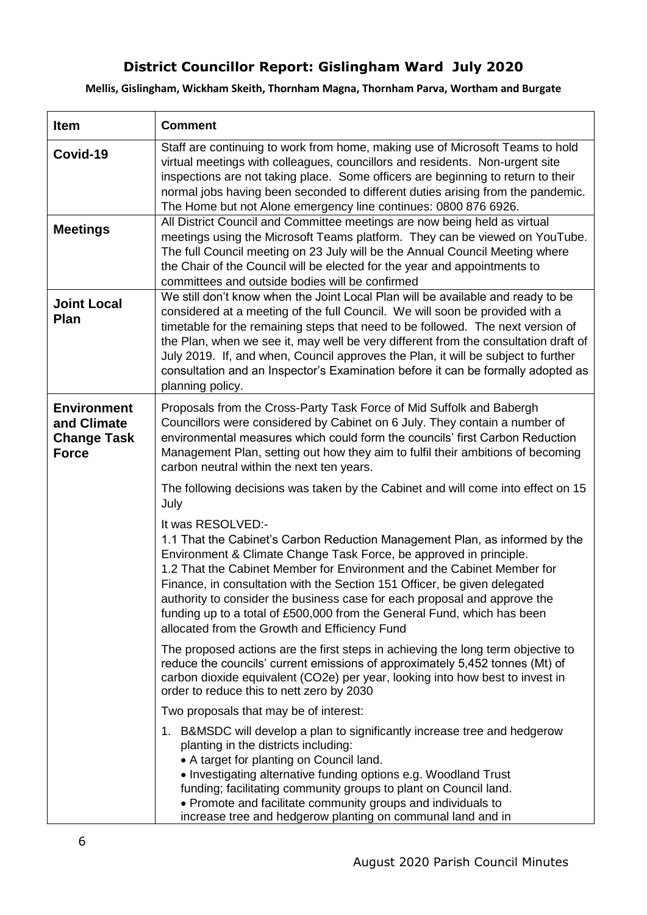# **District Councillor Report: Gislingham Ward July 2020**

**Mellis, Gislingham, Wickham Skeith, Thornham Magna, Thornham Parva, Wortham and Burgate**

| <b>Item</b>                                                             | <b>Comment</b>                                                                                                                                                                                                                                                                                                                                                                                                                                                                                                                         |
|-------------------------------------------------------------------------|----------------------------------------------------------------------------------------------------------------------------------------------------------------------------------------------------------------------------------------------------------------------------------------------------------------------------------------------------------------------------------------------------------------------------------------------------------------------------------------------------------------------------------------|
| Covid-19                                                                | Staff are continuing to work from home, making use of Microsoft Teams to hold<br>virtual meetings with colleagues, councillors and residents. Non-urgent site<br>inspections are not taking place. Some officers are beginning to return to their<br>normal jobs having been seconded to different duties arising from the pandemic.<br>The Home but not Alone emergency line continues: 0800 876 6926.                                                                                                                                |
| <b>Meetings</b>                                                         | All District Council and Committee meetings are now being held as virtual<br>meetings using the Microsoft Teams platform. They can be viewed on YouTube.<br>The full Council meeting on 23 July will be the Annual Council Meeting where<br>the Chair of the Council will be elected for the year and appointments to<br>committees and outside bodies will be confirmed                                                                                                                                                               |
| <b>Joint Local</b><br>Plan                                              | We still don't know when the Joint Local Plan will be available and ready to be<br>considered at a meeting of the full Council. We will soon be provided with a<br>timetable for the remaining steps that need to be followed. The next version of<br>the Plan, when we see it, may well be very different from the consultation draft of<br>July 2019. If, and when, Council approves the Plan, it will be subject to further<br>consultation and an Inspector's Examination before it can be formally adopted as<br>planning policy. |
| <b>Environment</b><br>and Climate<br><b>Change Task</b><br><b>Force</b> | Proposals from the Cross-Party Task Force of Mid Suffolk and Babergh<br>Councillors were considered by Cabinet on 6 July. They contain a number of<br>environmental measures which could form the councils' first Carbon Reduction<br>Management Plan, setting out how they aim to fulfil their ambitions of becoming<br>carbon neutral within the next ten years.                                                                                                                                                                     |
|                                                                         | The following decisions was taken by the Cabinet and will come into effect on 15<br>July                                                                                                                                                                                                                                                                                                                                                                                                                                               |
|                                                                         | It was RESOLVED:-<br>1.1 That the Cabinet's Carbon Reduction Management Plan, as informed by the<br>Environment & Climate Change Task Force, be approved in principle.<br>1.2 That the Cabinet Member for Environment and the Cabinet Member for<br>Finance, in consultation with the Section 151 Officer, be given delegated<br>authority to consider the business case for each proposal and approve the<br>funding up to a total of £500,000 from the General Fund, which has been<br>allocated from the Growth and Efficiency Fund |
|                                                                         | The proposed actions are the first steps in achieving the long term objective to<br>reduce the councils' current emissions of approximately 5,452 tonnes (Mt) of<br>carbon dioxide equivalent (CO2e) per year, looking into how best to invest in<br>order to reduce this to nett zero by 2030                                                                                                                                                                                                                                         |
|                                                                         | Two proposals that may be of interest:                                                                                                                                                                                                                                                                                                                                                                                                                                                                                                 |
|                                                                         | 1. B&MSDC will develop a plan to significantly increase tree and hedgerow<br>planting in the districts including:<br>• A target for planting on Council land.<br>• Investigating alternative funding options e.g. Woodland Trust<br>funding; facilitating community groups to plant on Council land.<br>• Promote and facilitate community groups and individuals to<br>increase tree and hedgerow planting on communal land and in                                                                                                    |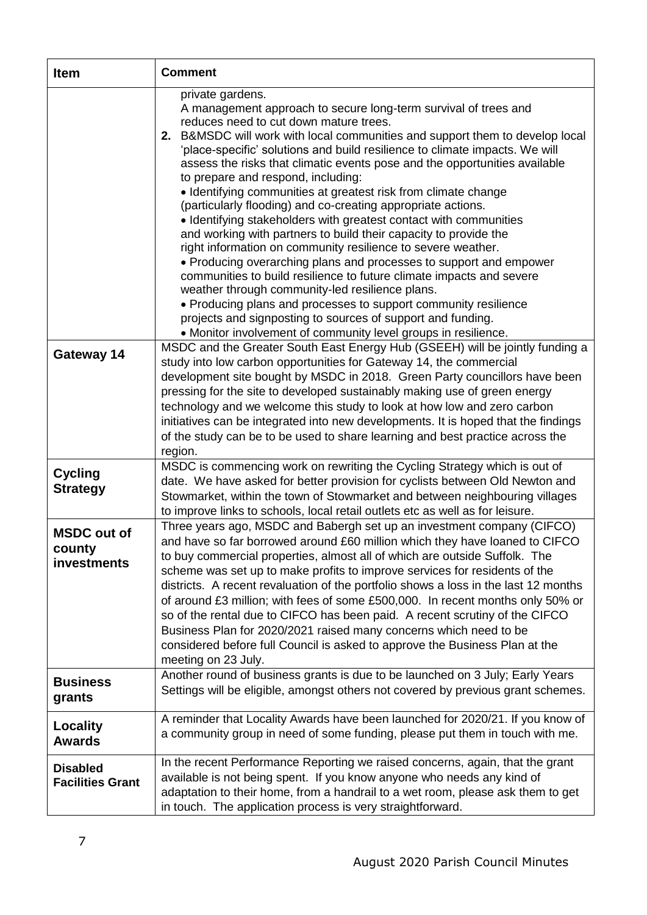| <b>Item</b>                                 | <b>Comment</b>                                                                                                                                                                                                                                                                                                                                                                                                                                                                                                                                                                                                                                                                                                                                                                                                                                                                                                                                                                                                                                                                                                                                                   |
|---------------------------------------------|------------------------------------------------------------------------------------------------------------------------------------------------------------------------------------------------------------------------------------------------------------------------------------------------------------------------------------------------------------------------------------------------------------------------------------------------------------------------------------------------------------------------------------------------------------------------------------------------------------------------------------------------------------------------------------------------------------------------------------------------------------------------------------------------------------------------------------------------------------------------------------------------------------------------------------------------------------------------------------------------------------------------------------------------------------------------------------------------------------------------------------------------------------------|
|                                             | private gardens.<br>A management approach to secure long-term survival of trees and<br>reduces need to cut down mature trees.<br>2. B&MSDC will work with local communities and support them to develop local<br>'place-specific' solutions and build resilience to climate impacts. We will<br>assess the risks that climatic events pose and the opportunities available<br>to prepare and respond, including:<br>• Identifying communities at greatest risk from climate change<br>(particularly flooding) and co-creating appropriate actions.<br>• Identifying stakeholders with greatest contact with communities<br>and working with partners to build their capacity to provide the<br>right information on community resilience to severe weather.<br>• Producing overarching plans and processes to support and empower<br>communities to build resilience to future climate impacts and severe<br>weather through community-led resilience plans.<br>• Producing plans and processes to support community resilience<br>projects and signposting to sources of support and funding.<br>• Monitor involvement of community level groups in resilience. |
| Gateway 14                                  | MSDC and the Greater South East Energy Hub (GSEEH) will be jointly funding a<br>study into low carbon opportunities for Gateway 14, the commercial<br>development site bought by MSDC in 2018. Green Party councillors have been<br>pressing for the site to developed sustainably making use of green energy<br>technology and we welcome this study to look at how low and zero carbon<br>initiatives can be integrated into new developments. It is hoped that the findings<br>of the study can be to be used to share learning and best practice across the<br>region.                                                                                                                                                                                                                                                                                                                                                                                                                                                                                                                                                                                       |
| <b>Cycling</b><br><b>Strategy</b>           | MSDC is commencing work on rewriting the Cycling Strategy which is out of<br>date. We have asked for better provision for cyclists between Old Newton and<br>Stowmarket, within the town of Stowmarket and between neighbouring villages<br>to improve links to schools, local retail outlets etc as well as for leisure.                                                                                                                                                                                                                                                                                                                                                                                                                                                                                                                                                                                                                                                                                                                                                                                                                                        |
| <b>MSDC out of</b><br>county<br>investments | Three years ago, MSDC and Babergh set up an investment company (CIFCO)<br>and have so far borrowed around £60 million which they have loaned to CIFCO<br>to buy commercial properties, almost all of which are outside Suffolk. The<br>scheme was set up to make profits to improve services for residents of the<br>districts. A recent revaluation of the portfolio shows a loss in the last 12 months<br>of around £3 million; with fees of some £500,000. In recent months only 50% or<br>so of the rental due to CIFCO has been paid. A recent scrutiny of the CIFCO<br>Business Plan for 2020/2021 raised many concerns which need to be<br>considered before full Council is asked to approve the Business Plan at the<br>meeting on 23 July.                                                                                                                                                                                                                                                                                                                                                                                                             |
| <b>Business</b><br>grants                   | Another round of business grants is due to be launched on 3 July; Early Years<br>Settings will be eligible, amongst others not covered by previous grant schemes.                                                                                                                                                                                                                                                                                                                                                                                                                                                                                                                                                                                                                                                                                                                                                                                                                                                                                                                                                                                                |
| Locality<br><b>Awards</b>                   | A reminder that Locality Awards have been launched for 2020/21. If you know of<br>a community group in need of some funding, please put them in touch with me.                                                                                                                                                                                                                                                                                                                                                                                                                                                                                                                                                                                                                                                                                                                                                                                                                                                                                                                                                                                                   |
| <b>Disabled</b><br><b>Facilities Grant</b>  | In the recent Performance Reporting we raised concerns, again, that the grant<br>available is not being spent. If you know anyone who needs any kind of<br>adaptation to their home, from a handrail to a wet room, please ask them to get<br>in touch. The application process is very straightforward.                                                                                                                                                                                                                                                                                                                                                                                                                                                                                                                                                                                                                                                                                                                                                                                                                                                         |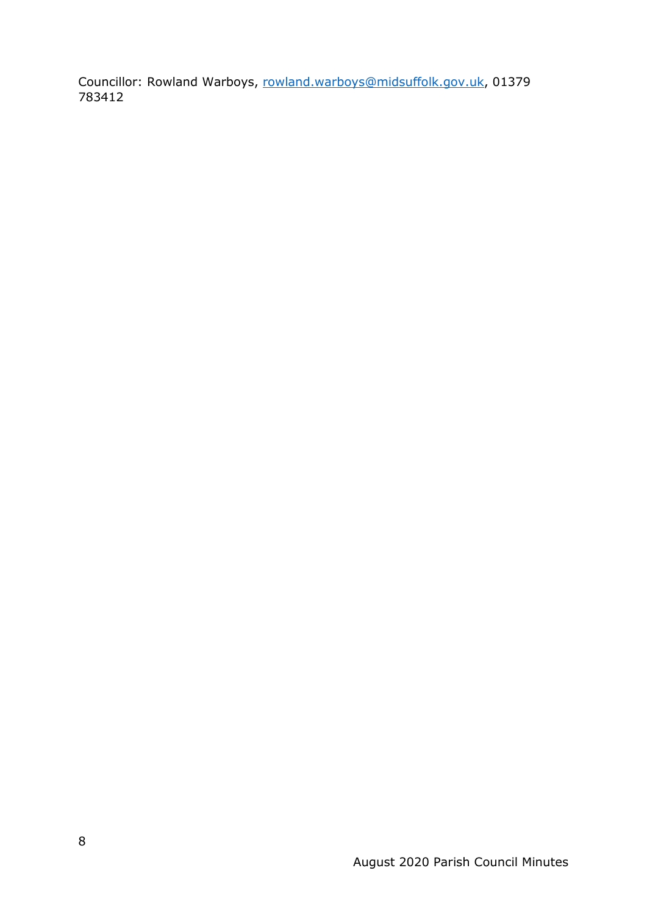Councillor: Rowland Warboys, [rowland.warboys@midsuffolk.gov.uk,](mailto:rowland.warboys@midsuffolk.gov.uk) 01379 783412